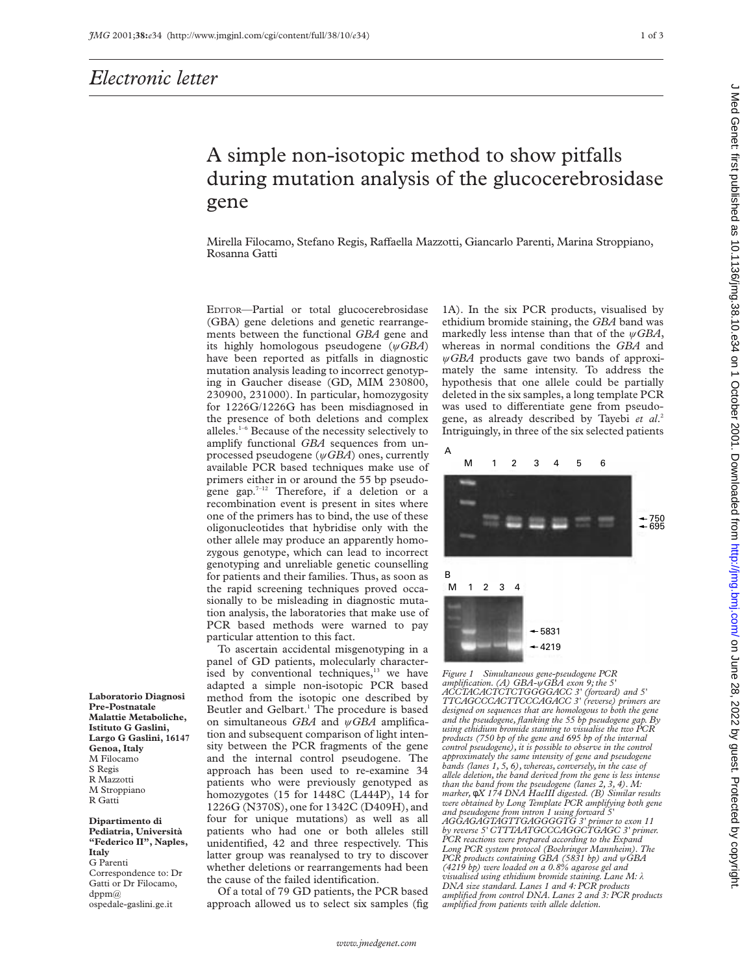## A simple non-isotopic method to show pitfalls during mutation analysis of the glucocerebrosidase gene

Mirella Filocamo, Stefano Regis, Raffaella Mazzotti, Giancarlo Parenti, Marina Stroppiano, Rosanna Gatti

EDITOR—Partial or total glucocerebrosidase (GBA) gene deletions and genetic rearrangements between the functional *GBA* gene and its highly homologous pseudogene (ø*GBA*) have been reported as pitfalls in diagnostic mutation analysis leading to incorrect genotyping in Gaucher disease (GD, MIM 230800, 230900, 231000). In particular, homozygosity for 1226G/1226G has been misdiagnosed in the presence of both deletions and complex alleles.1–6 Because of the necessity selectively to amplify functional *GBA* sequences from unprocessed pseudogene ( $\psi$ *GBA*) ones, currently available PCR based techniques make use of primers either in or around the 55 bp pseudogene gap. $7-12$  Therefore, if a deletion or a recombination event is present in sites where one of the primers has to bind, the use of these oligonucleotides that hybridise only with the other allele may produce an apparently homozygous genotype, which can lead to incorrect genotyping and unreliable genetic counselling for patients and their families. Thus, as soon as the rapid screening techniques proved occasionally to be misleading in diagnostic mutation analysis, the laboratories that make use of PCR based methods were warned to pay particular attention to this fact.

To ascertain accidental misgenotyping in a panel of GD patients, molecularly characterised by conventional techniques,<sup>13</sup> we have adapted a simple non-isotopic PCR based method from the isotopic one described by Beutler and Gelbart.<sup>1</sup> The procedure is based on simultaneous *GBA* and  $\psi$ *GBA* amplification and subsequent comparison of light intensity between the PCR fragments of the gene and the internal control pseudogene. The approach has been used to re-examine 34 patients who were previously genotyped as homozygotes (15 for 1448C (L444P), 14 for 1226G (N370S), one for 1342C (D409H), and four for unique mutations) as well as all patients who had one or both alleles still unidentified, 42 and three respectively. This latter group was reanalysed to try to discover whether deletions or rearrangements had been the cause of the failed identification.

Of a total of 79 GD patients, the PCR based approach allowed us to select six samples (fig 1A). In the six PCR products, visualised by ethidium bromide staining, the *GBA* band was markedly less intense than that of the  $\psi$ *GBA*, whereas in normal conditions the *GBA* and ø*GBA* products gave two bands of approximately the same intensity. To address the hypothesis that one allele could be partially deleted in the six samples, a long template PCR was used to differentiate gene from pseudogene, as already described by Tayebi *et al*. 2 Intriguingly, in three of the six selected patients



*Figure 1 Simultaneous gene-pseudogene PCR amplification. (A) GBA-*ø*GBA exon 9; the 5' ACCTACACTCTCTGGGGACC 3' (forward) and 5' TTCAGCCCACTTCCCAGACC 3' (reverse) primers are designed on sequences that are homologous to both the gene and the pseudogene, flanking the 55 bp pseudogene gap. By using ethidium bromide staining to visualise the two PCR products (750 bp of the gene and 695 bp of the internal control pseudogene), it is possible to observe in the control approximately the same intensity of gene and pseudogene bands (lanes 1, 5, 6), whereas, conversely, in the case of allele deletion, the band derived from the gene is less intense than the band from the pseudogene (lanes 2, 3, 4). M: marker,* φ*X 174 DNA HaeIII digested. (B) Similar results were obtained by Long Template PCR amplifying both gene and pseudogene from intron 1 using forward 5' AGGAGAGTAGTTGAGGGGTG 3' primer to exon 11 by reverse 5' CTTTAATGCCCAGGCTGAGC 3' primer. PCR reactions were prepared according to the Expand Long PCR system protocol (Boehringer Mannheim). The PCR products containing GBA (5831 bp) and* ø*GBA (4219 bp) were loaded on a 0.8% agarose gel and visualised using ethidium bromide staining. Lane M:* ë *DNA size standard. Lanes 1 and 4: PCR products amplified from control DNA. Lanes 2 and 3: PCR products amplified from patients with allele deletion.*

**Laboratorio Diagnosi Pre-Postnatale Malattie Metaboliche, Istituto G Gaslini, Largo G Gaslini, 16147 Genoa, Italy** M Filocamo S Regis R Mazzotti M Stroppiano R Gatti

**Dipartimento di Pediatria, Università "Federico II", Naples, Italy** G Parenti Correspondence to: Dr Gatti or Dr Filocamo,  $dppm@$ ospedale-gaslini.ge.it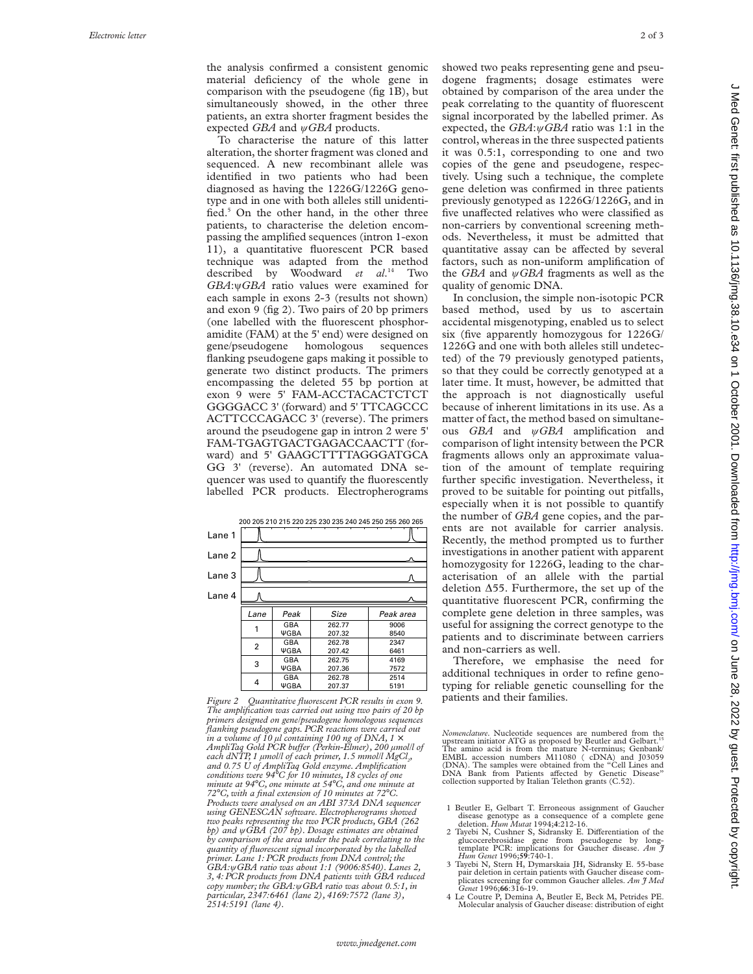the analysis confirmed a consistent genomic material deficiency of the whole gene in comparison with the pseudogene (fig 1B), but simultaneously showed, in the other three patients, an extra shorter fragment besides the expected *GBA* and  $\psi$ *GBA* products.

To characterise the nature of this latter alteration, the shorter fragment was cloned and sequenced. A new recombinant allele was identified in two patients who had been diagnosed as having the 1226G/1226G genotype and in one with both alleles still unidentified.<sup>5</sup> On the other hand, in the other three patients, to characterise the deletion encompassing the amplified sequences (intron 1-exon 11), a quantitative fluorescent PCR based technique was adapted from the method described by Woodward *et al* . <sup>14</sup> Two GBA: *ψGBA* ratio values were examined for each sample in exons 2-3 (results not shown) and exon 9 (fig 2). Two pairs of 20 bp primers (one labelled with the fluorescent phosphoramidite (FAM) at the 5' end) were designed on gene/pseudogene homologous sequences flanking pseudogene gaps making it possible to generate two distinct products. The primers encompassing the deleted 55 bp portion at exon 9 were 5' FAM-ACCTACACTCTCT GGGGACC 3' (forward) and 5' TTCAGCCC ACTTCCCAGACC 3' (reverse). The primers around the pseudogene gap in intron 2 were 5' FAM-TGAGTGACTGAGACCAACTT (forward) and 5' GAAGCTTTTAGGGATGCA GG 3' (reverse). An automated DNA sequencer was used to quantify the fluorescently labelled PCR products. Electropherograms

|        |      |                           | 200 205 210 215 220 225 230 235 240 245 250 255 260 265 |              |
|--------|------|---------------------------|---------------------------------------------------------|--------------|
| Lane 1 |      |                           |                                                         |              |
| Lane 2 |      |                           |                                                         |              |
| Lane 3 |      |                           |                                                         |              |
| Lane 4 |      |                           |                                                         |              |
|        | Lane | Peak                      | Size                                                    | Peak area    |
|        | 1    | GBA<br><b>YGBA</b>        | 262.77<br>207.32                                        | 9006<br>8540 |
|        | 2    | GBA<br><b>YGBA</b>        | 262.78<br>207.42                                        | 2347<br>6461 |
|        | 3    | GBA<br><b>YGBA</b>        | 262.75<br>207.36                                        | 4169<br>7572 |
|        | 4    | <b>GBA</b><br><b>YGBA</b> | 262.78<br>207.37                                        | 2514<br>5191 |

*Figure 2 Quantitative fluorescent PCR results in exon 9. The amplification was carried out using two pairs of 20 bp primers designed on gene/pseudogene homologous sequences flanking pseudogene gaps. PCR reactions were carried out*  $\dot{m}$  a volume of 10  $\mu$ l containing 100 ng of DNA, 1  $\times$ *AmpliTaq Gold PCR buVer (Perkin-Elmer), 200 µmol/l of* each dNTP, 1 µmol/l of each primer, 1.5 mmol/l MgCl<sub>2</sub>, *and 0.75 U of AmpliTaq Gold enzyme. Amplification conditions were 94* °*C for 10 minutes, 18 cycles of one minute at 94* °*C, one minute at 54* °*C, and one minute at 72* °*C, with a final extension of 10 minutes at 72* °*C. Products were analysed on an ABI 373A DNA sequencer using GENESCAN software. Electropherograms showed two peaks representing the two PCR products, GBA (262 bp) and* ø*GBA (207 bp). Dosage estimates are obtained by comparison of the area under the peak correlating to the quantity of fluorescent signal incorporated by the labelled primer. Lane 1: PCR products from DNA control; the GBA:* ø*GBA ratio was about 1:1 (9006:8540). Lanes 2, 3, 4: PCR products from DNA patients with GBA reduced copy number; the GBA:* ø*GBA ratio was about 0.5:1, in particular, 2347:6461 (lane 2), 4169:7572 (lane 3), 2514:5191 (lane 4).*

showed two peaks representing gene and pseudogene fragments; dosage estimates were obtained by comparison of the area under the peak correlating to the quantity of fluorescent signal incorporated by the labelled primer. As expected, the *GBA*:  $\psi$ *GBA* ratio was 1:1 in the control, whereas in the three suspected patients it was 0.5:1, corresponding to one and two copies of the gene and pseudogene, respectively. Using such a technique, the complete gene deletion was confirmed in three patients previously genotyped as 1226G/1226G, and in five unaffected relatives who were classified as non-carriers by conventional screening methods. Nevertheless, it must be admitted that quantitative assay can be affected by several factors, such as non-uniform amplification of the *GBA* and ø*GBA* fragments as well as the quality of genomic DNA.

In conclusion, the simple non-isotopic PCR based method, used by us to ascertain accidental misgenotyping, enabled us to select six (five apparently homozygous for 1226G/ 1226G and one with both alleles still undetected) of the 79 previously genotyped patients, so that they could be correctly genotyped at a later time. It must, however, be admitted that the approach is not diagnostically useful because of inherent limitations in its use. As a matter of fact, the method based on simultaneous *GBA* and ø*GBA* amplification and comparison of light intensity between the PCR fragments allows only an approximate valuation of the amount of template requiring further specific investigation. Nevertheless, it proved to be suitable for pointing out pitfalls, especially when it is not possible to quantify the number of *GBA* gene copies, and the parents are not available for carrier analysis. Recently, the method prompted us to further investigations in another patient with apparent homozygosity for 1226G, leading to the characterisation of an allele with the partial deletion Ä55. Furthermore, the set up of the quantitative fluorescent PCR, confirming the complete gene deletion in three samples, was useful for assigning the correct genotype to the patients and to discriminate between carriers and non-carriers as well.

Therefore, we emphasise the need for additional techniques in order to refine genotyping for reliable genetic counselling for the patients and their families.

*Nomenclature*. Nucleotide sequences are numbered from the upstream initiator ATG as proposed by Beutler and Gelbart.<sup>15</sup> The amino acid is from the mature N-terminus; Genbank/ EMBL accession numbers M11080 ( cDNA) and J03059 (DNA). The samples were obtained from the "Cell Lines and<br>DNA Bank from Patients affected by Genetic Disease" collection supported by Italian Telethon grants (C.52).

- 1 Beutler E, Gelbart T. Erroneous assignment of Gaucher disease genotype as a consequence of a complete gene deletion. *Hum Mutat* 1994; **4**:212-16.
- 2 Tayebi N, Cushner S, Sidransky E. Differentiation of the glucocerebrosidase gene from pseudogene by long-template PCR: implications for Gaucher disease. *Am J Hum Genet* 1996;**59**:740-1.
- 3 Tayebi N, Stern H, Dymarskaia JH, Sidransky E. 55-base pair deletion in certain patients with Gaucher disease complicates screening for common Gaucher alleles. *Am J Med Genet* 1996;**66**:316-19.
- 4 Le Coutre P, Demina A, Beutler E, Beck M, Petrides PE. Molecular analysis of Gaucher disease: distribution of eight